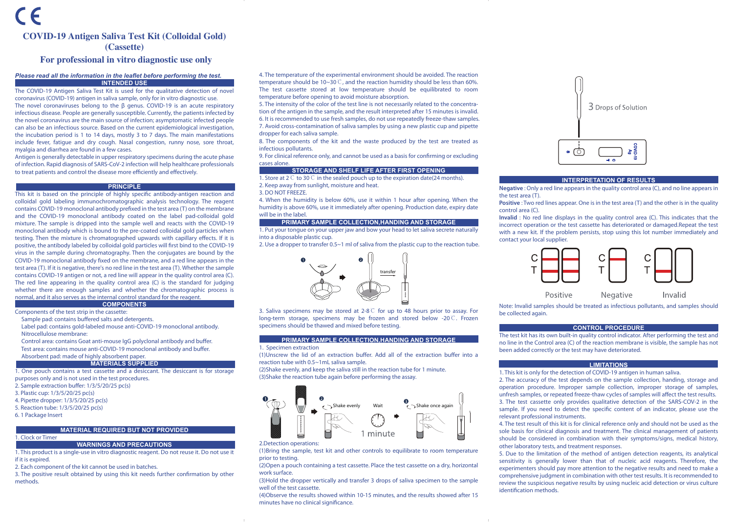# COVID-19 Antigen Saliva Test Kit (Colloidal Gold) (Cassette)

# For professional in vitro diagnostic use only

## *Please read all the information in the leaflet before performing the test.* **INTENDED USE**

The COVID-19 Antigen Saliva Test Kit is used for the qualitative detection of novel coronavirus (COVID-19) antigen in saliva sample, only for in vitro diagnostic use. The novel coronaviruses belong to the β genus. COVID-19 is an acute respiratory infectious disease. People are generally susceptible. Currently, the patients infected by the novel coronavirus are the main source of infection; asymptomatic infected people

can also be an infectious source. Based on the current epidemiological investigation, the incubation period is 1 to 14 days, mostly 3 to 7 days. The main manifestations include fever, fatigue and dry cough. Nasal congestion, runny nose, sore throat, myalgia and diarrhea are found in a few cases.

Antigen is generally detectable in upper respiratory specimens during the acute phase of infection. Rapid diagnosis of SARS-CoV-2 infection will help healthcare professionals to treat patients and control the disease more efficiently and effectively.

### **PRINCIPLE**

This kit is based on the principle of highly specific antibody-antigen reaction and colloidal gold labeling immunochromatographic analysis technology. The reagent contains COVID-19 monoclonal antibody prefixed in the test area (T) on the membrane and the COVID-19 monoclonal antibody coated on the label pad-colloidal gold mixture. The sample is dripped into the sample well and reacts with the COVID-19 monoclonal antibody which is bound to the pre-coated colloidal gold particles when testing. Then the mixture is chromatographed upwards with capillary effects. If it is positive, the antibody labeled by colloidal gold particles will first bind to the COVID-19 virus in the sample during chromatography. Then the conjugates are bound by the COVID-19 monoclonal antibody fixed on the membrane, and a red line appears in the test area (T). If it is negative, there's no red line in the test area (T). Whether the sample contains COVID-19 antigen or not, a red line will appear in the quality control area (C). The red line appearing in the quality control area (C) is the standard for judging whether there are enough samples and whether the chromatographic process is normal, and it also serves as the internal control standard for the reagent. **COMPONENTS**

Components of the test strip in the cassette:

- Sample pad: contains buffered salts and detergents.
- Label pad: contains gold-labeled mouse anti-COVID-19 monoclonal antibody. Nitrocellulose membrane:
- Control area: contains Goat anti-mouse IgG polyclonal antibody and buffer. Test area: contains mouse anti-COVID-19 monoclonal antibody and buffer. Absorbent pad: made of highly absorbent paper.

#### **MATERIALS SUPPLIED**

1. One pouch contains a test cassette and a desiccant. The desiccant is for storage purposes only and is not used in the test procedures.

- 2. Sample extraction buffer: 1/3/5/20/25 pc(s)
- 3. Plastic cup: 1/3/5/20/25 pc(s)
- 4. Pipette dropper: 1/3/5/20/25 pc(s)
- 5. Reaction tube: 1/3/5/20/25 pc(s)
- 6. 1 Package Insert

#### **MATERIAL REQUIRED BUT NOT PROVIDED**

# 1. Clock or Timer

**WARNINGS AND PRECAUTIONS** 1. This product is a single-use in vitro diagnostic reagent. Do not reuse it. Do not use it if it is expired.

2. Each component of the kit cannot be used in batches.

3. The positive result obtained by using this kit needs further confirmation by other methods.

4. The temperature of the experimental environment should be avoided. The reaction temperature should be 10~30℃, and the reaction humidity should be less than 60%. The test cassette stored at low temperature should be equilibrated to room temperature before opening to avoid moisture absorption.

5. The intensity of the color of the test line is not necessarily related to the concentration of the antigen in the sample, and the result interpreted after 15 minutes is invalid. 6. It is recommended to use fresh samples, do not use repeatedly freeze-thaw samples. 7. Avoid cross-contamination of saliva samples by using a new plastic cup and pipette dropper for each saliva sample.

8. The components of the kit and the waste produced by the test are treated as infectious pollutants.

9. For clinical reference only, and cannot be used as a basis for confirming or excluding cases alone.

# **STORAGE AND SHELF LIFE AFTER FIRST OPENING**

1. Store at 2℃ to 30℃ in the sealed pouch up to the expiration date(24 months).

- 2. Keep away from sunlight, moisture and heat.
- 3. DO NOT FREEZE.

4. When the humidity is below 60%, use it within 1 hour after opening. When the humidity is above 60%, use it immediately after opening. Production date, expiry date will be in the label.

# **PRIMARY SAMPLE COLLECTION,HANDING AND STORAGE**

1. Put your tongue on your upper jaw and bow your head to let saliva secrete naturally into a disposable plastic cup.

2. Use a dropper to transfer 0.5~1 ml of saliva from the plastic cup to the reaction tube.



3. Saliva specimens may be stored at 2-8℃ for up to 48 hours prior to assay. For long-term storage, specimens may be frozen and stored below -20℃. Frozen specimens should be thawed and mixed before testing.

#### **PRIMARY SAMPLE COLLECTION,HANDING AND STORAGE**

### 1. Specimen extraction

(1)Unscrew the lid of an extraction buffer. Add all of the extraction buffer into a reaction tube with 0.5~1mL saliva sample.

(2)Shake evenly, and keep the saliva still in the reaction tube for 1 minute. (3)Shake the reaction tube again before performing the assay.



2.Detection operations:

(1)Bring the sample, test kit and other controls to equilibrate to room temperature prior to testing.

(2)Open a pouch containing a test cassette. Place the test cassette on a dry, horizontal work surface.

(3)Hold the dropper vertically and transfer 3 drops of saliva specimen to the sample well of the test cassette.

(4)Observe the results showed within 10-15 minutes, and the results showed after 15 minutes have no clinical significance.



## **INTERPRETATION OF RESULTS**

**Negative** : Only a red line appears in the quality control area (C), and no line appears in the test area (T).

**Positive** : Two red lines appear. One is in the test area (T) and the other is in the quality control area (C).

**Invalid** : No red line displays in the quality control area (C). This indicates that the incorrect operation or the test cassette has deteriorated or damaged.Repeat the test with a new kit. If the problem persists, stop using this lot number immediately and contact your local supplier.



Note: Invalid samples should be treated as infectious pollutants, and samples should be collected again.

#### **CONTROL PROCEDURE**

The test kit has its own built-in quality control indicator. After performing the test and no line in the Control area (C) of the reaction membrane is visible, the sample has not been added correctly or the test may have deteriorated.

#### **LIMITATIONS**

1. This kit is only for the detection of COVID-19 antigen in human saliva.

2. The accuracy of the test depends on the sample collection, handing, storage and operation procedure. Improper sample collection, improper storage of samples, unfresh samples, or repeated freeze-thaw cycles of samples will affect the test results. 3. The test cassette only provides qualitative detection of the SARS-COV-2 in the sample. If you need to detect the specific content of an indicator, please use the relevant professional instruments.

4. The test result of this kit is for clinical reference only and should not be used as the sole basis for clinical diagnosis and treatment. The clinical management of patients should be considered in combination with their symptoms/signs, medical history, other laboratory tests, and treatment responses.

5. Due to the limitation of the method of antigen detection reagents, its analytical sensitivity is generally lower than that of nucleic acid reagents. Therefore, the experimenters should pay more attention to the negative results and need to make a comprehensive judgment in combination with other test results. It is recommended to review the suspicious negative results by using nucleic acid detection or virus culture identification methods.